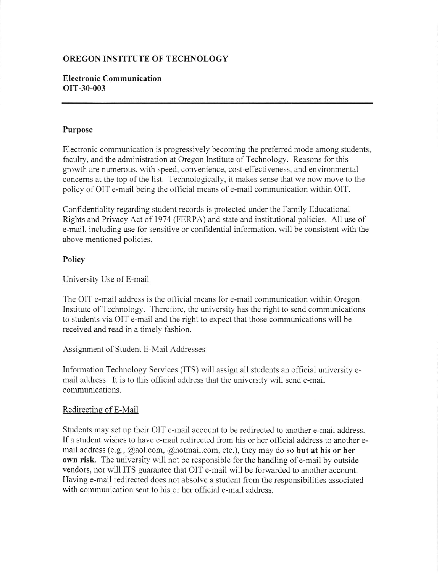# OREGON INSTITUTE OF TECHNOLOGY

## Electronic Communication orT-30-003

#### Purpose

Electronic communication is progressively becoming the prefened mode among students, faculty, and the administration at Oregon Institute of Technology. Reasons for this growth are numerous, with speed, convenience, cost-effectiveness, and environmental concems at the top of the list. Technologically, it makes sense that we now move to the policy of OIT e-mail being the official means of e-mail communication within OIT.

Confidentiality regarding student records is protected under the Family Educational Rights and Privacy Act of 1974 (FERPA) and state and institutional policies. All use of e-mail, including use for sensitive or confidential information, will be consistent with the above mentioned policies.

#### Policy

### University Use of E-mail

The OIT e-mail address is the official means for e-mail communication within Oregon Institute of Technology. Therefore, the university has the right to send communications to students via OIT e-mail and the right to expect that those communications will be received and read in a timely fashion.

#### Assignment of Student E-Mail Addresses

Information Technology Services (ITS) will assign all students an official university email address. It is to this official address that the university will send e-mail communications.

#### Redirectine of E-Mail

Students may set up their OIT e-mail account to be redirected to another e-mail address. If a student wishes to have e-mail redirected from his or her official address to another email address (e.g.,  $\omega$ aol.com,  $\omega$ hotmail.com, etc.), they may do so **but at his or her** own risk. The university will not be responsible for the handling of e-mail by outside vendors, nor will ITS guarantee that OIT e-mail will be forwarded to another account. Having e-mail redirected does not absolve a student from the responsibilities associated with communication sent to his or her official e-mail address.